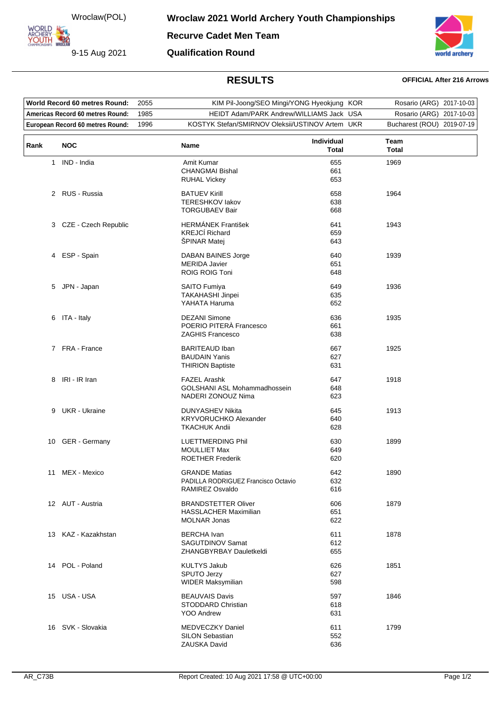Wroclaw(POL)

9-15 Aug 2021

**ARCHERY<br>YOUTH 422** 

**Recurve Cadet Men Team Qualification Round**



## **RESULTS OFFICIAL After 216 Arrows**

| World Record 60 metres Round:<br>Americas Record 60 metres Round: |                                  | 2055 | KIM Pil-Joong/SEO Mingi/YONG Hyeokjung KOR<br>1985<br>HEIDT Adam/PARK Andrew/WILLIAMS Jack USA |                     | Rosario (ARG) 2017-10-03   |  |
|-------------------------------------------------------------------|----------------------------------|------|------------------------------------------------------------------------------------------------|---------------------|----------------------------|--|
|                                                                   |                                  |      |                                                                                                |                     | Rosario (ARG) 2017-10-03   |  |
|                                                                   | European Record 60 metres Round: | 1996 | KOSTYK Stefan/SMIRNOV Oleksii/USTINOV Artem UKR                                                |                     | Bucharest (ROU) 2019-07-19 |  |
| Rank                                                              | <b>NOC</b>                       |      | Name                                                                                           | Individual<br>Total | Team<br><b>Total</b>       |  |
| $\mathbf{1}$                                                      | IND - India                      |      | Amit Kumar<br><b>CHANGMAI Bishal</b><br><b>RUHAL Vickey</b>                                    | 655<br>661<br>653   | 1969                       |  |
|                                                                   | 2 RUS - Russia                   |      | <b>BATUEV Kirill</b><br><b>TERESHKOV lakov</b><br><b>TORGUBAEV Bair</b>                        | 658<br>638<br>668   | 1964                       |  |
|                                                                   | 3 CZE - Czech Republic           |      | <b>HERMÁNEK František</b><br><b>KREJCÍ Richard</b><br>ŠPINAR Matej                             | 641<br>659<br>643   | 1943                       |  |
|                                                                   | 4 ESP - Spain                    |      | <b>DABAN BAINES Jorge</b><br><b>MERIDA Javier</b><br>ROIG ROIG Toni                            | 640<br>651<br>648   | 1939                       |  |
|                                                                   | 5 JPN - Japan                    |      | <b>SAITO Fumiya</b><br>TAKAHASHI Jinpei<br>YAHATA Haruma                                       | 649<br>635<br>652   | 1936                       |  |
|                                                                   | 6 ITA - Italy                    |      | <b>DEZANI Simone</b><br>POERIO PITERÀ Francesco<br><b>ZAGHIS Francesco</b>                     | 636<br>661<br>638   | 1935                       |  |
|                                                                   | 7 FRA - France                   |      | <b>BARITEAUD Iban</b><br><b>BAUDAIN Yanis</b><br><b>THIRION Baptiste</b>                       | 667<br>627<br>631   | 1925                       |  |
| 8                                                                 | IRI - IR Iran                    |      | <b>FAZEL Arashk</b><br>GOLSHANI ASL Mohammadhossein<br>NADERI ZONOUZ Nima                      | 647<br>648<br>623   | 1918                       |  |
| 9                                                                 | UKR - Ukraine                    |      | DUNYASHEV Nikita<br>KRYVORUCHKO Alexander<br><b>TKACHUK Andii</b>                              | 645<br>640<br>628   | 1913                       |  |
|                                                                   | 10 GER - Germany                 |      | <b>LUETTMERDING Phil</b><br><b>MOULLIET Max</b><br><b>ROETHER Frederik</b>                     | 630<br>649<br>620   | 1899                       |  |
|                                                                   | 11 MEX - Mexico                  |      | <b>GRANDE Matias</b><br>PADILLA RODRIGUEZ Francisco Octavio<br>RAMIREZ Osvaldo                 | 642<br>632<br>616   | 1890                       |  |
|                                                                   | 12 AUT - Austria                 |      | <b>BRANDSTETTER Oliver</b><br><b>HASSLACHER Maximilian</b><br><b>MOLNAR Jonas</b>              | 606<br>651<br>622   | 1879                       |  |
|                                                                   | 13 KAZ - Kazakhstan              |      | <b>BERCHA</b> Ivan<br>SAGUTDINOV Samat<br>ZHANGBYRBAY Dauletkeldi                              | 611<br>612<br>655   | 1878                       |  |
|                                                                   | 14 POL - Poland                  |      | <b>KULTYS Jakub</b><br>SPUTO Jerzy<br><b>WIDER Maksymilian</b>                                 | 626<br>627<br>598   | 1851                       |  |
|                                                                   | 15 USA - USA                     |      | <b>BEAUVAIS Davis</b><br>STODDARD Christian<br><b>YOO Andrew</b>                               | 597<br>618<br>631   | 1846                       |  |
|                                                                   | 16 SVK - Slovakia                |      | MEDVECZKY Daniel<br><b>SILON Sebastian</b><br>ZAUSKA David                                     | 611<br>552<br>636   | 1799                       |  |